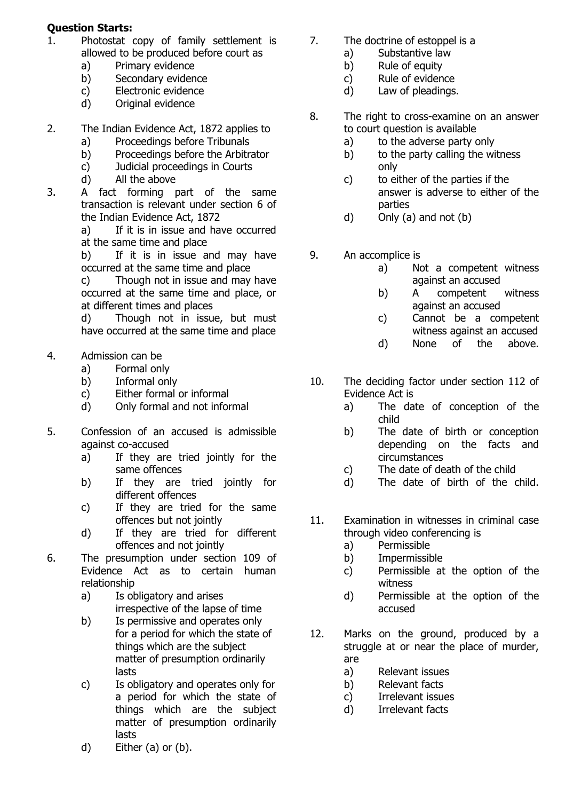## **Question Starts:**

- 1. Photostat copy of family settlement is allowed to be produced before court as
	- a) Primary evidence
	- b) Secondary evidence
	- c) Electronic evidence
	- d) Original evidence
- 2. The Indian Evidence Act, 1872 applies to
	- a) Proceedings before Tribunals
	- b) Proceedings before the Arbitrator
	- c) Judicial proceedings in Courts
	- d) All the above
- 3. A fact forming part of the same transaction is relevant under section 6 of the Indian Evidence Act, 1872

a) If it is in issue and have occurred at the same time and place

b) If it is in issue and may have occurred at the same time and place

c) Though not in issue and may have occurred at the same time and place, or at different times and places

d) Though not in issue, but must have occurred at the same time and place

- 4. Admission can be
	- a) Formal only
	- b) Informal only
	- c) Either formal or informal
	- d) Only formal and not informal
- 5. Confession of an accused is admissible against co-accused
	- a) If they are tried jointly for the same offences
	- b) If they are tried jointly for different offences
	- c) If they are tried for the same offences but not jointly
	- d) If they are tried for different offences and not jointly
- 6. The presumption under section 109 of Evidence Act as to certain human relationship
	- a) Is obligatory and arises irrespective of the lapse of time
	- b) Is permissive and operates only for a period for which the state of things which are the subject matter of presumption ordinarily lasts
	- c) Is obligatory and operates only for a period for which the state of things which are the subject matter of presumption ordinarily lasts
- 7. The doctrine of estoppel is a
	- a) Substantive law
	- b) Rule of equity
	- c) Rule of evidence
	- d) Law of pleadings.
- 8. The right to cross-examine on an answer to court question is available
	- a) to the adverse party only
	- b) to the party calling the witness only
	- c) to either of the parties if the answer is adverse to either of the parties
	- d) Only (a) and not (b)
- 9. An accomplice is
	- a) Not a competent witness against an accused
	- b) A competent witness against an accused
	- c) Cannot be a competent witness against an accused
	- d) None of the above.
- 10. The deciding factor under section 112 of Evidence Act is
	- a) The date of conception of the child
	- b) The date of birth or conception depending on the facts and circumstances
	- c) The date of death of the child
	- d) The date of birth of the child.
- 11. Examination in witnesses in criminal case through video conferencing is
	- a) Permissible
	- b) Impermissible
	- c) Permissible at the option of the witness
	- d) Permissible at the option of the accused
- 12. Marks on the ground, produced by a struggle at or near the place of murder, are
	- a) Relevant issues
	- b) Relevant facts
	- c) Irrelevant issues
	- d) Irrelevant facts

d) Either (a) or (b).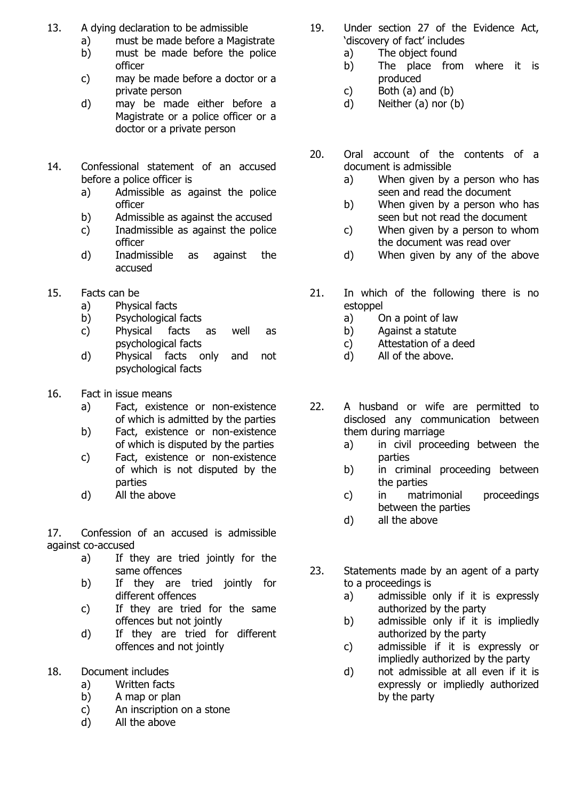- 13. A dying declaration to be admissible
	- a) must be made before a Magistrate
	- b) must be made before the police officer
	- c) may be made before a doctor or a private person
	- d) may be made either before a Magistrate or a police officer or a doctor or a private person
- 14. Confessional statement of an accused before a police officer is
	- a) Admissible as against the police officer
	- b) Admissible as against the accused
	- c) Inadmissible as against the police officer
	- d) Inadmissible as against the accused
- 15. Facts can be
	- a) Physical facts
	- b) Psychological facts
	- c) Physical facts as well as psychological facts
	- d) Physical facts only and not psychological facts
- 16. Fact in issue means
	- a) Fact, existence or non-existence of which is admitted by the parties
	- b) Fact, existence or non-existence of which is disputed by the parties
	- c) Fact, existence or non-existence of which is not disputed by the parties
	- d) All the above

17. Confession of an accused is admissible against co-accused

- a) If they are tried jointly for the same offences
- b) If they are tried jointly for different offences
- c) If they are tried for the same offences but not jointly
- d) If they are tried for different offences and not jointly
- 18. Document includes
	- a) Written facts
	- b) A map or plan
	- c) An inscription on a stone
	- d) All the above
- 19. Under section 27 of the Evidence Act, 'discovery of fact' includes
	- a) The object found
	- b) The place from where it is produced
	- c) Both  $(a)$  and  $(b)$
	- d) Neither (a) nor (b)
- 20. Oral account of the contents of a document is admissible
	- a) When given by a person who has seen and read the document
	- b) When given by a person who has seen but not read the document
	- c) When given by a person to whom the document was read over
	- d) When given by any of the above
- 21. In which of the following there is no estoppel
	- a) On a point of law
	- b) Against a statute
	- c) Attestation of a deed
	- d) All of the above.
- 22. A husband or wife are permitted to disclosed any communication between them during marriage
	- a) in civil proceeding between the parties
	- b) in criminal proceeding between the parties
	- c) in matrimonial proceedings between the parties
	- d) all the above
- 23. Statements made by an agent of a party to a proceedings is
	- a) admissible only if it is expressly authorized by the party
	- b) admissible only if it is impliedly authorized by the party
	- c) admissible if it is expressly or impliedly authorized by the party
	- d) not admissible at all even if it is expressly or impliedly authorized by the party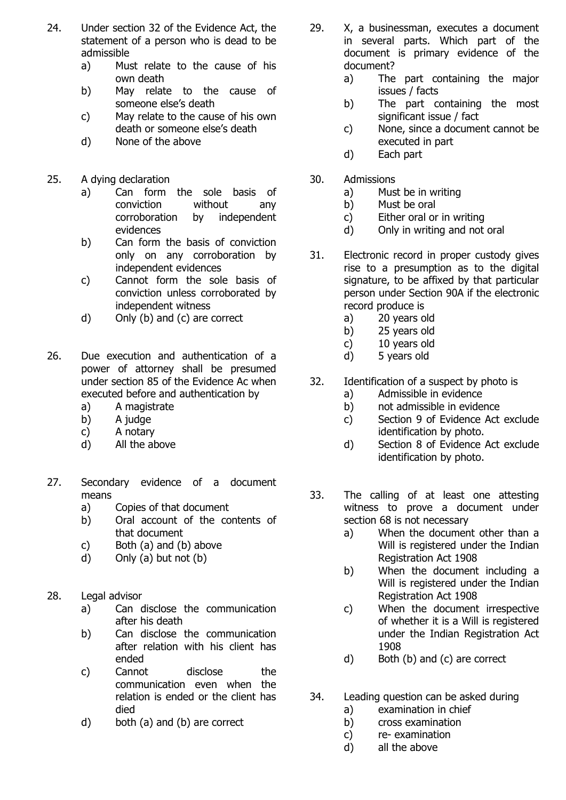- 24. Under section 32 of the Evidence Act, the statement of a person who is dead to be admissible
	- a) Must relate to the cause of his own death
	- b) May relate to the cause of someone else's death
	- c) May relate to the cause of his own death or someone else's death
	- d) None of the above
- 25. A dying declaration
	- a) Can form the sole basis of conviction without any corroboration by independent evidences
	- b) Can form the basis of conviction only on any corroboration by independent evidences
	- c) Cannot form the sole basis of conviction unless corroborated by independent witness
	- d) Only (b) and (c) are correct
- 26. Due execution and authentication of a power of attorney shall be presumed under section 85 of the Evidence Ac when executed before and authentication by
	- a) A magistrate
	- b) A judge
	- c) A notary
	- d) All the above
- 27. Secondary evidence of a document means
	- a) Copies of that document
	- b) Oral account of the contents of that document
	- c) Both (a) and (b) above
	- d) Only (a) but not (b)
- 28. Legal advisor
	- a) Can disclose the communication after his death
	- b) Can disclose the communication after relation with his client has ended
	- c) Cannot disclose the communication even when the relation is ended or the client has died
	- d) both (a) and (b) are correct
- 29. X, a businessman, executes a document in several parts. Which part of the document is primary evidence of the document?
	- a) The part containing the major issues / facts
	- b) The part containing the most significant issue / fact
	- c) None, since a document cannot be executed in part
	- d) Each part
- 30. Admissions
	- a) Must be in writing
	- b) Must be oral
	- c) Either oral or in writing
	- d) Only in writing and not oral
- 31. Electronic record in proper custody gives rise to a presumption as to the digital signature, to be affixed by that particular person under Section 90A if the electronic record produce is
	- a) 20 years old
	- b) 25 years old
	- c) 10 years old
	- d) 5 years old
- 32. Identification of a suspect by photo is
	- a) Admissible in evidence
		- b) not admissible in evidence
		- c) Section 9 of Evidence Act exclude identification by photo.
		- d) Section 8 of Evidence Act exclude identification by photo.
- 33. The calling of at least one attesting witness to prove a document under section 68 is not necessary
	- a) When the document other than a Will is registered under the Indian Registration Act 1908
	- b) When the document including a Will is registered under the Indian Registration Act 1908
	- c) When the document irrespective of whether it is a Will is registered under the Indian Registration Act 1908
	- d) Both (b) and (c) are correct
- 34. Leading question can be asked during
	- a) examination in chief
	- b) cross examination
	- c) re- examination
	- d) all the above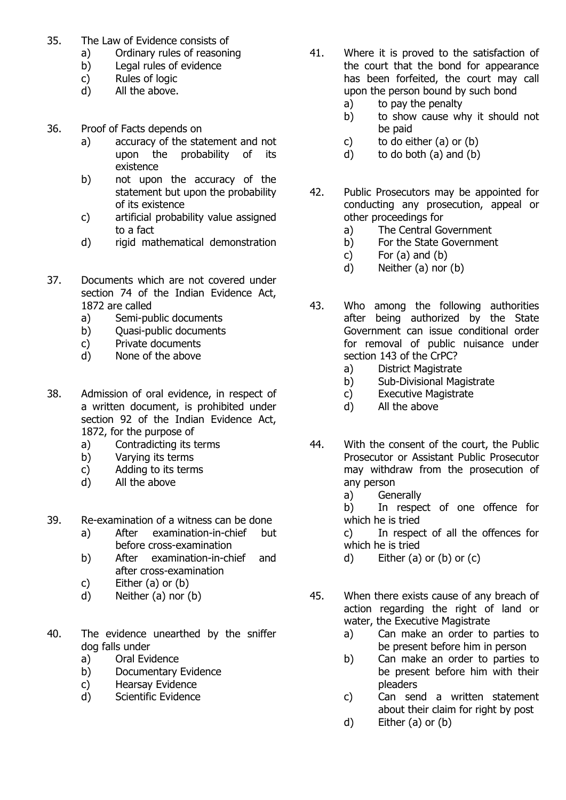- 35. The Law of Evidence consists of
	- a) Ordinary rules of reasoning
	- b) Legal rules of evidence
	- c) Rules of logic
	- d) All the above.
- 36. Proof of Facts depends on
	- a) accuracy of the statement and not upon the probability of its existence
	- b) not upon the accuracy of the statement but upon the probability of its existence
	- c) artificial probability value assigned to a fact
	- d) rigid mathematical demonstration
- 37. Documents which are not covered under section 74 of the Indian Evidence Act, 1872 are called
	- a) Semi-public documents
	- b) Quasi-public documents
	- c) Private documents
	- d) None of the above
- 38. Admission of oral evidence, in respect of a written document, is prohibited under section 92 of the Indian Evidence Act, 1872, for the purpose of
	- a) Contradicting its terms
	- b) Varying its terms
	- c) Adding to its terms
	- d) All the above
- 39. Re-examination of a witness can be done
	- a) After examination-in-chief but before cross-examination
	- b) After examination-in-chief and after cross-examination
	- c) Either (a) or (b)
	- d) Neither (a) nor (b)
- 40. The evidence unearthed by the sniffer dog falls under
	- a) Oral Evidence
	- b) Documentary Evidence
	- c) Hearsay Evidence
	- d) Scientific Evidence
- 41. Where it is proved to the satisfaction of the court that the bond for appearance has been forfeited, the court may call upon the person bound by such bond
	- a) to pay the penalty
	- b) to show cause why it should not be paid
	- c) to do either (a) or (b)
	- d) to do both (a) and (b)
- 42. Public Prosecutors may be appointed for conducting any prosecution, appeal or other proceedings for
	- a) The Central Government
	- b) For the State Government
	- $c)$  For  $(a)$  and  $(b)$
	- d) Neither (a) nor (b)
- 43. Who among the following authorities after being authorized by the State Government can issue conditional order for removal of public nuisance under section 143 of the CrPC?
	- a) District Magistrate
	- b) Sub-Divisional Magistrate
	- c) Executive Magistrate
	- d) All the above
- 44. With the consent of the court, the Public Prosecutor or Assistant Public Prosecutor may withdraw from the prosecution of any person
	- a) Generally
	- b) In respect of one offence for which he is tried

c) In respect of all the offences for which he is tried

- d) Either  $(a)$  or  $(b)$  or  $(c)$
- 45. When there exists cause of any breach of action regarding the right of land or water, the Executive Magistrate
	- a) Can make an order to parties to be present before him in person
	- b) Can make an order to parties to be present before him with their pleaders
	- c) Can send a written statement about their claim for right by post
	- d) Either (a) or (b)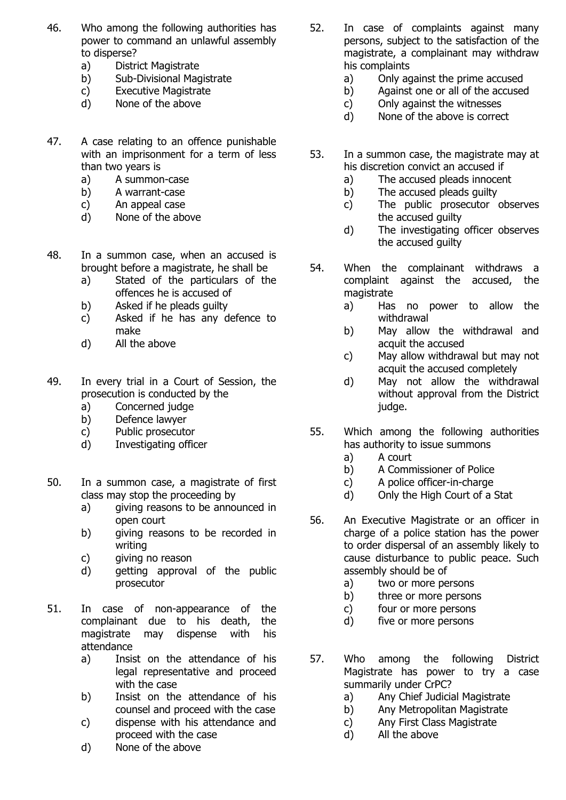- 46. Who among the following authorities has power to command an unlawful assembly to disperse?
	- a) District Magistrate
	- b) Sub-Divisional Magistrate
	- c) Executive Magistrate
	- d) None of the above
- 47. A case relating to an offence punishable with an imprisonment for a term of less than two years is
	- a) A summon-case
	- b) A warrant-case
	- c) An appeal case
	- d) None of the above
- 48. In a summon case, when an accused is brought before a magistrate, he shall be
	- a) Stated of the particulars of the offences he is accused of
	- b) Asked if he pleads guilty
	- c) Asked if he has any defence to make
	- d) All the above
- 49. In every trial in a Court of Session, the prosecution is conducted by the
	- a) Concerned judge
	- b) Defence lawyer
	- c) Public prosecutor
	- d) Investigating officer
- 50. In a summon case, a magistrate of first class may stop the proceeding by
	- a) giving reasons to be announced in open court
	- b) giving reasons to be recorded in writing
	- c) giving no reason
	- d) getting approval of the public prosecutor
- 51. In case of non-appearance of the complainant due to his death, the magistrate may dispense with his attendance
	- a) Insist on the attendance of his legal representative and proceed with the case
	- b) Insist on the attendance of his counsel and proceed with the case
	- c) dispense with his attendance and proceed with the case
	- d) None of the above
- 52. In case of complaints against many persons, subject to the satisfaction of the magistrate, a complainant may withdraw his complaints
	- a) Only against the prime accused
	- b) Against one or all of the accused
	- c) Only against the witnesses
	- d) None of the above is correct
- 53. In a summon case, the magistrate may at his discretion convict an accused if
	- a) The accused pleads innocent
	- b) The accused pleads guilty
	- c) The public prosecutor observes the accused guilty
	- d) The investigating officer observes the accused guilty
- 54. When the complainant withdraws a complaint against the accused, the magistrate
	- a) Has no power to allow the withdrawal
	- b) May allow the withdrawal and acquit the accused
	- c) May allow withdrawal but may not acquit the accused completely
	- d) May not allow the withdrawal without approval from the District judge.
- 55. Which among the following authorities has authority to issue summons
	- a) A court
	- b) A Commissioner of Police
	- c) A police officer-in-charge
	- d) Only the High Court of a Stat
- 56. An Executive Magistrate or an officer in charge of a police station has the power to order dispersal of an assembly likely to cause disturbance to public peace. Such assembly should be of
	- a) two or more persons
	- b) three or more persons
	- c) four or more persons
	- d) five or more persons
- 57. Who among the following District Magistrate has power to try a case summarily under CrPC?
	- a) Any Chief Judicial Magistrate
	- b) Any Metropolitan Magistrate
	- c) Any First Class Magistrate
	- d) All the above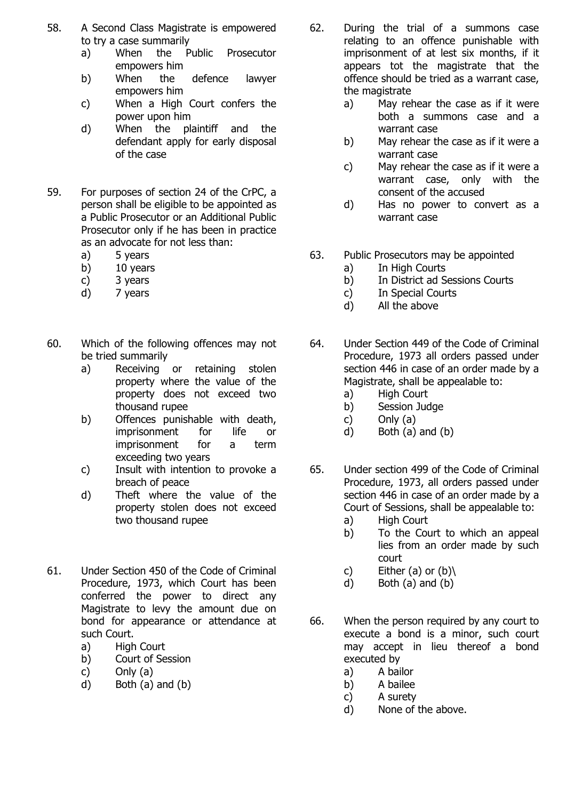- 58. A Second Class Magistrate is empowered to try a case summarily
	- a) When the Public Prosecutor empowers him
	- b) When the defence lawyer empowers him
	- c) When a High Court confers the power upon him
	- d) When the plaintiff and the defendant apply for early disposal of the case
- 59. For purposes of section 24 of the CrPC, a person shall be eligible to be appointed as a Public Prosecutor or an Additional Public Prosecutor only if he has been in practice as an advocate for not less than:
	- a) 5 years
	- b) 10 years
	- c) 3 years
	- d) 7 years
- 60. Which of the following offences may not be tried summarily
	- a) Receiving or retaining stolen property where the value of the property does not exceed two thousand rupee
	- b) Offences punishable with death, imprisonment for life or imprisonment for a term exceeding two years
	- c) Insult with intention to provoke a breach of peace
	- d) Theft where the value of the property stolen does not exceed two thousand rupee
- 61. Under Section 450 of the Code of Criminal Procedure, 1973, which Court has been conferred the power to direct any Magistrate to levy the amount due on bond for appearance or attendance at such Court.
	- a) High Court
	- b) Court of Session
	- c) Only (a)
	- d) Both (a) and (b)
- 62. During the trial of a summons case relating to an offence punishable with imprisonment of at lest six months, if it appears tot the magistrate that the offence should be tried as a warrant case, the magistrate
	- a) May rehear the case as if it were both a summons case and a warrant case
	- b) May rehear the case as if it were a warrant case
	- c) May rehear the case as if it were a warrant case, only with the consent of the accused
	- d) Has no power to convert as a warrant case
- 63. Public Prosecutors may be appointed
	- a) In High Courts
	- b) In District ad Sessions Courts
	- c) In Special Courts
	- d) All the above
- 64. Under Section 449 of the Code of Criminal Procedure, 1973 all orders passed under section 446 in case of an order made by a Magistrate, shall be appealable to:
	- a) High Court
	- b) Session Judge
	- c) Only (a)
	- d) Both (a) and (b)
- 65. Under section 499 of the Code of Criminal Procedure, 1973, all orders passed under section 446 in case of an order made by a Court of Sessions, shall be appealable to:
	- a) High Court
	- b) To the Court to which an appeal lies from an order made by such court
	- c) Either  $(a)$  or  $(b)$
	- d) Both (a) and (b)
- 66. When the person required by any court to execute a bond is a minor, such court may accept in lieu thereof a bond executed by
	- a) A bailor
	- b) A bailee
	- c) A surety
	- d) None of the above.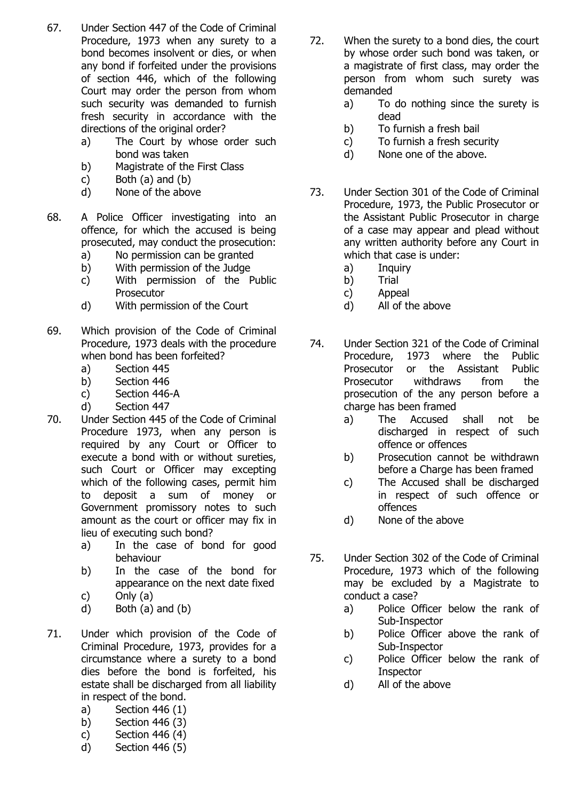- 67. Under Section 447 of the Code of Criminal Procedure, 1973 when any surety to a bond becomes insolvent or dies, or when any bond if forfeited under the provisions of section 446, which of the following Court may order the person from whom such security was demanded to furnish fresh security in accordance with the directions of the original order?
	- a) The Court by whose order such bond was taken
	- b) Magistrate of the First Class
	- c) Both  $(a)$  and  $(b)$
	- d) None of the above
- 68. A Police Officer investigating into an offence, for which the accused is being prosecuted, may conduct the prosecution:
	- a) No permission can be granted
	- b) With permission of the Judge
	- c) With permission of the Public **Prosecutor**
	- d) With permission of the Court
- 69. Which provision of the Code of Criminal Procedure, 1973 deals with the procedure when bond has been forfeited?
	- a) Section 445
	- b) Section 446
	- c) Section 446-A
	- d) Section 447
- 70. Under Section 445 of the Code of Criminal Procedure 1973, when any person is required by any Court or Officer to execute a bond with or without sureties, such Court or Officer may excepting which of the following cases, permit him to deposit a sum of money or Government promissory notes to such amount as the court or officer may fix in lieu of executing such bond?
	- a) In the case of bond for good behaviour
	- b) In the case of the bond for appearance on the next date fixed
	- c) Only (a)
	- d) Both (a) and (b)
- 71. Under which provision of the Code of Criminal Procedure, 1973, provides for a circumstance where a surety to a bond dies before the bond is forfeited, his estate shall be discharged from all liability in respect of the bond.
	- a) Section 446 (1)
	- b) Section 446 (3)
	- c) Section 446 (4)
	- d) Section 446 (5)
- 72. When the surety to a bond dies, the court by whose order such bond was taken, or a magistrate of first class, may order the person from whom such surety was demanded
	- a) To do nothing since the surety is dead
	- b) To furnish a fresh bail
	- c) To furnish a fresh security
	- d) None one of the above.
- 73. Under Section 301 of the Code of Criminal Procedure, 1973, the Public Prosecutor or the Assistant Public Prosecutor in charge of a case may appear and plead without any written authority before any Court in which that case is under:
	- a) Inquiry
	- b) Trial
	- c) Appeal
	- d) All of the above
- 74. Under Section 321 of the Code of Criminal Procedure, 1973 where the Public Prosecutor or the Assistant Public Prosecutor withdraws from the prosecution of the any person before a charge has been framed
	- a) The Accused shall not be discharged in respect of such offence or offences
	- b) Prosecution cannot be withdrawn before a Charge has been framed
	- c) The Accused shall be discharged in respect of such offence or offences
	- d) None of the above
- 75. Under Section 302 of the Code of Criminal Procedure, 1973 which of the following may be excluded by a Magistrate to conduct a case?
	- a) Police Officer below the rank of Sub-Inspector
	- b) Police Officer above the rank of Sub-Inspector
	- c) Police Officer below the rank of **Inspector**
	- d) All of the above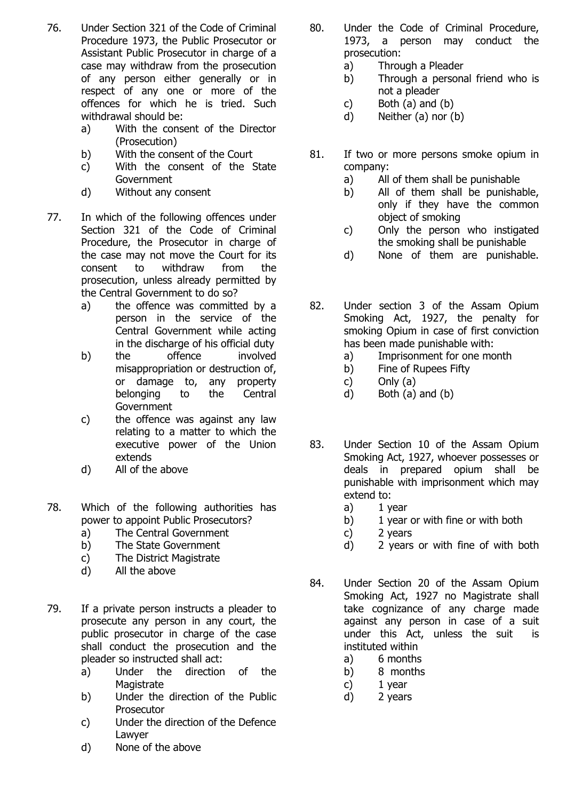- 76. Under Section 321 of the Code of Criminal Procedure 1973, the Public Prosecutor or Assistant Public Prosecutor in charge of a case may withdraw from the prosecution of any person either generally or in respect of any one or more of the offences for which he is tried. Such withdrawal should be:
	- a) With the consent of the Director (Prosecution)
	- b) With the consent of the Court
	- c) With the consent of the State Government
	- d) Without any consent
- 77. In which of the following offences under Section 321 of the Code of Criminal Procedure, the Prosecutor in charge of the case may not move the Court for its consent to withdraw from the prosecution, unless already permitted by the Central Government to do so?
	- a) the offence was committed by a person in the service of the Central Government while acting in the discharge of his official duty
	- b) the offence involved misappropriation or destruction of, or damage to, any property belonging to the Central **Government**
	- c) the offence was against any law relating to a matter to which the executive power of the Union extends
	- d) All of the above
- 78. Which of the following authorities has power to appoint Public Prosecutors?
	- a) The Central Government
	- b) The State Government
	- c) The District Magistrate
	- d) All the above
- 79. If a private person instructs a pleader to prosecute any person in any court, the public prosecutor in charge of the case shall conduct the prosecution and the pleader so instructed shall act:
	- a) Under the direction of the **Magistrate**
	- b) Under the direction of the Public Prosecutor
	- c) Under the direction of the Defence Lawyer
	- d) None of the above
- 80. Under the Code of Criminal Procedure, 1973, a person may conduct the prosecution:
	- a) Through a Pleader
	- b) Through a personal friend who is not a pleader
	- c) Both  $(a)$  and  $(b)$
	- d) Neither (a) nor (b)
- 81. If two or more persons smoke opium in company:
	- a) All of them shall be punishable
	- b) All of them shall be punishable, only if they have the common object of smoking
	- c) Only the person who instigated the smoking shall be punishable
	- d) None of them are punishable.
- 82. Under section 3 of the Assam Opium Smoking Act, 1927, the penalty for smoking Opium in case of first conviction has been made punishable with:
	- a) Imprisonment for one month
	- b) Fine of Rupees Fifty
	- c) Only (a)
	- d) Both (a) and (b)
- 83. Under Section 10 of the Assam Opium Smoking Act, 1927, whoever possesses or deals in prepared opium shall be punishable with imprisonment which may extend to:
	- a) 1 year
	- b) 1 year or with fine or with both
	- c) 2 years
	- d) 2 years or with fine of with both
- 84. Under Section 20 of the Assam Opium Smoking Act, 1927 no Magistrate shall take cognizance of any charge made against any person in case of a suit under this Act, unless the suit is instituted within
	- a) 6 months
	- b) 8 months
	- c) 1 year
	- d) 2 years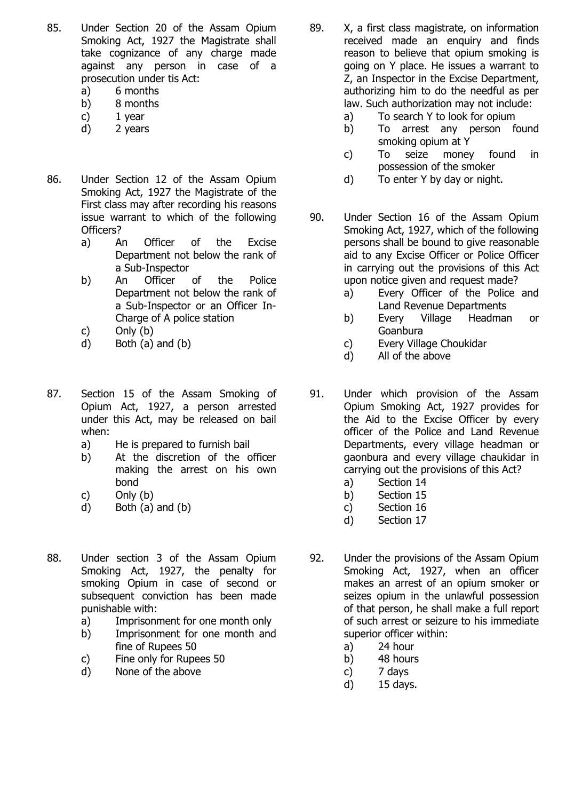- 85. Under Section 20 of the Assam Opium Smoking Act, 1927 the Magistrate shall take cognizance of any charge made against any person in case of a prosecution under tis Act:
	- a) 6 months
	- b) 8 months
	- c) 1 year
	- d) 2 years
- 86. Under Section 12 of the Assam Opium Smoking Act, 1927 the Magistrate of the First class may after recording his reasons issue warrant to which of the following Officers?
	- a) An Officer of the Excise Department not below the rank of a Sub-Inspector
	- b) An Officer of the Police Department not below the rank of a Sub-Inspector or an Officer In-Charge of A police station
	- c) Only (b)
	- d) Both (a) and (b)
- 87. Section 15 of the Assam Smoking of Opium Act, 1927, a person arrested under this Act, may be released on bail when:
	- a) He is prepared to furnish bail
	- b) At the discretion of the officer making the arrest on his own bond
	- c) Only (b)
	- d) Both (a) and (b)
- 88. Under section 3 of the Assam Opium Smoking Act, 1927, the penalty for smoking Opium in case of second or subsequent conviction has been made punishable with:
	- a) Imprisonment for one month only
	- b) Imprisonment for one month and fine of Rupees 50
	- c) Fine only for Rupees 50
	- d) None of the above
- 89. X, a first class magistrate, on information received made an enquiry and finds reason to believe that opium smoking is going on Y place. He issues a warrant to Z, an Inspector in the Excise Department, authorizing him to do the needful as per law. Such authorization may not include:
	- a) To search Y to look for opium
	- b) To arrest any person found smoking opium at Y
	- c) To seize money found in possession of the smoker
	- d) To enter Y by day or night.
- 90. Under Section 16 of the Assam Opium Smoking Act, 1927, which of the following persons shall be bound to give reasonable aid to any Excise Officer or Police Officer in carrying out the provisions of this Act upon notice given and request made?
	- a) Every Officer of the Police and Land Revenue Departments
	- b) Every Village Headman or Goanbura
	- c) Every Village Choukidar
	- d) All of the above
- 91. Under which provision of the Assam Opium Smoking Act, 1927 provides for the Aid to the Excise Officer by every officer of the Police and Land Revenue Departments, every village headman or gaonbura and every village chaukidar in carrying out the provisions of this Act?
	- a) Section 14
	- b) Section 15
	- c) Section 16
	- d) Section 17
- 92. Under the provisions of the Assam Opium Smoking Act, 1927, when an officer makes an arrest of an opium smoker or seizes opium in the unlawful possession of that person, he shall make a full report of such arrest or seizure to his immediate superior officer within:
	- a) 24 hour
	- b) 48 hours
	- c) 7 days
	- d) 15 days.